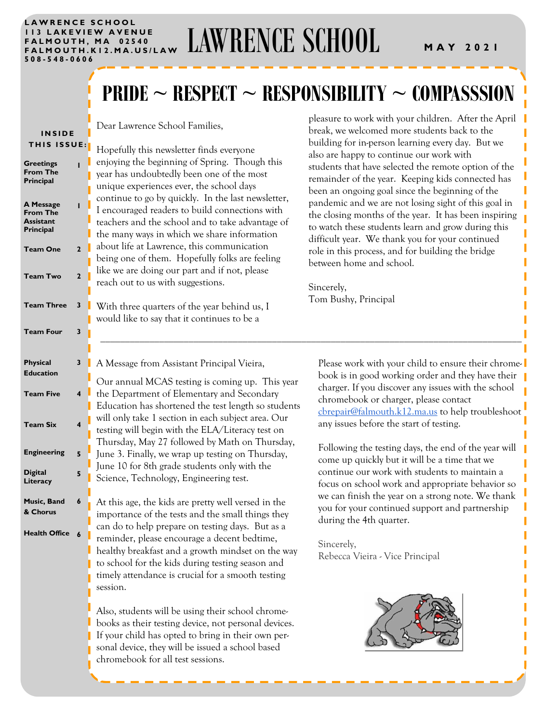#### LAWRENCE SCHOOL **1 1 3 L A K E V I E W A V E N U E F A L M O U T H , M A 0 2 5 4 0 508 - 548 - 0 6 0 6**

# LAWRENCE SCHOOL<br>FALMOUTH, MA 02540<br>FALMOUTH.K12.MA.US/LAW LAWRENCE SCHOOL MAY 2021

# **PRIDE ~ RESPECT ~ RESPONSIBILITY ~ COMPASSSION**

| <b>INSIDE</b><br><b>THIS ISSUE:</b><br><b>Greetings</b><br><b>From The</b><br>Principal<br><b>A Message</b><br><b>From The</b><br><b>Assistant</b><br>Principal<br><b>Team One</b><br><b>Team Two</b><br><b>Team Three</b><br><b>Team Four</b> | T<br>$\overline{2}$<br>$\mathbf{2}$<br>3<br>3 | Dear Lawrence School Families,<br>Hopefully this newsletter finds everyone<br>enjoying the beginning of Spring. Though this<br>year has undoubtedly been one of the most<br>unique experiences ever, the school days<br>continue to go by quickly. In the last newsletter,<br>I encouraged readers to build connections with<br>teachers and the school and to take advantage of<br>the many ways in which we share information<br>about life at Lawrence, this communication<br>being one of them. Hopefully folks are feeling<br>like we are doing our part and if not, please<br>reach out to us with suggestions.<br>With three quarters of the year behind us, I<br>would like to say that it continues to be a | pleasure to work with your children. After the April<br>break, we welcomed more students back to the<br>building for in-person learning every day. But we<br>also are happy to continue our work with<br>students that have selected the remote option of the<br>remainder of the year. Keeping kids connected has<br>been an ongoing goal since the beginning of the<br>pandemic and we are not losing sight of this goal in<br>the closing months of the year. It has been inspiring<br>to watch these students learn and grow during this<br>difficult year. We thank you for your continued<br>role in this process, and for building the bridge<br>between home and school.<br>Sincerely,<br>Tom Bushy, Principal |
|------------------------------------------------------------------------------------------------------------------------------------------------------------------------------------------------------------------------------------------------|-----------------------------------------------|----------------------------------------------------------------------------------------------------------------------------------------------------------------------------------------------------------------------------------------------------------------------------------------------------------------------------------------------------------------------------------------------------------------------------------------------------------------------------------------------------------------------------------------------------------------------------------------------------------------------------------------------------------------------------------------------------------------------|------------------------------------------------------------------------------------------------------------------------------------------------------------------------------------------------------------------------------------------------------------------------------------------------------------------------------------------------------------------------------------------------------------------------------------------------------------------------------------------------------------------------------------------------------------------------------------------------------------------------------------------------------------------------------------------------------------------------|
| <b>Physical</b>                                                                                                                                                                                                                                | 3                                             |                                                                                                                                                                                                                                                                                                                                                                                                                                                                                                                                                                                                                                                                                                                      |                                                                                                                                                                                                                                                                                                                                                                                                                                                                                                                                                                                                                                                                                                                        |
| <b>Education</b>                                                                                                                                                                                                                               |                                               | A Message from Assistant Principal Vieira,<br>Our annual MCAS testing is coming up. This year                                                                                                                                                                                                                                                                                                                                                                                                                                                                                                                                                                                                                        | Please work with your child to ensure their chrome-<br>book is in good working order and they have their<br>charger. If you discover any issues with the school                                                                                                                                                                                                                                                                                                                                                                                                                                                                                                                                                        |
| <b>Team Five</b>                                                                                                                                                                                                                               | $\overline{\mathbf{4}}$                       | the Department of Elementary and Secondary<br>Education has shortened the test length so students                                                                                                                                                                                                                                                                                                                                                                                                                                                                                                                                                                                                                    | chromebook or charger, please contact<br>chrepair@falmouth.k12.ma.us to help troubleshoot                                                                                                                                                                                                                                                                                                                                                                                                                                                                                                                                                                                                                              |
| <b>Team Six</b>                                                                                                                                                                                                                                | $\overline{\mathbf{4}}$                       | will only take 1 section in each subject area. Our<br>testing will begin with the ELA/Literacy test on                                                                                                                                                                                                                                                                                                                                                                                                                                                                                                                                                                                                               | any issues before the start of testing.                                                                                                                                                                                                                                                                                                                                                                                                                                                                                                                                                                                                                                                                                |
| <b>Engineering</b>                                                                                                                                                                                                                             | 5                                             | Thursday, May 27 followed by Math on Thursday,<br>June 3. Finally, we wrap up testing on Thursday,                                                                                                                                                                                                                                                                                                                                                                                                                                                                                                                                                                                                                   | Following the testing days, the end of the year will<br>come up quickly but it will be a time that we                                                                                                                                                                                                                                                                                                                                                                                                                                                                                                                                                                                                                  |
| <b>Digital</b><br>Literacy                                                                                                                                                                                                                     | 5                                             | June 10 for 8th grade students only with the<br>Science, Technology, Engineering test.                                                                                                                                                                                                                                                                                                                                                                                                                                                                                                                                                                                                                               | continue our work with students to maintain a<br>focus on school work and appropriate behavior so                                                                                                                                                                                                                                                                                                                                                                                                                                                                                                                                                                                                                      |
| Music, Band<br>& Chorus                                                                                                                                                                                                                        | 6                                             | At this age, the kids are pretty well versed in the<br>importance of the tests and the small things they                                                                                                                                                                                                                                                                                                                                                                                                                                                                                                                                                                                                             | we can finish the year on a strong note. We thank<br>you for your continued support and partnership<br>during the 4th quarter.                                                                                                                                                                                                                                                                                                                                                                                                                                                                                                                                                                                         |
| Health Office 6                                                                                                                                                                                                                                |                                               | can do to help prepare on testing days. But as a<br>reminder, please encourage a decent bedtime,<br>healthy breakfast and a growth mindset on the way<br>to school for the kids during testing season and<br>timely attendance is crucial for a smooth testing<br>session.<br>Also, students will be using their school chrome-<br>books as their testing device, not personal devices.<br>If your child has opted to bring in their own per-<br>sonal device, they will be issued a school based<br>chromebook for all test sessions.                                                                                                                                                                               | Sincerely,<br>Rebecca Vieira - Vice Principal                                                                                                                                                                                                                                                                                                                                                                                                                                                                                                                                                                                                                                                                          |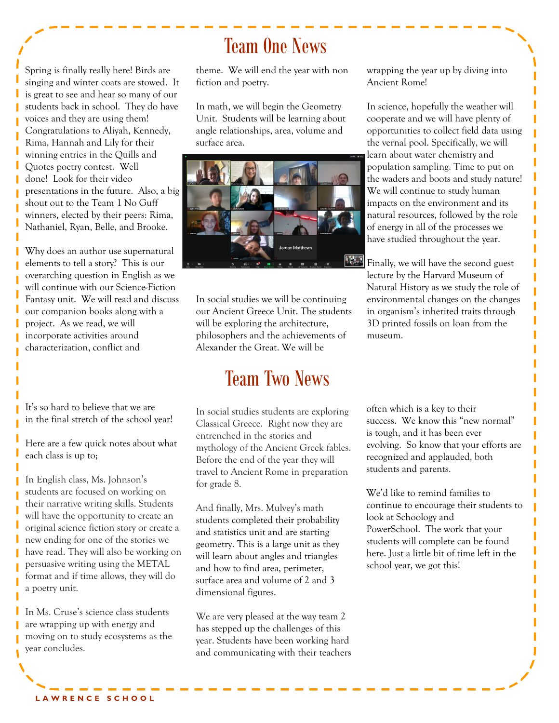Spring is finally really here! Birds are singing and winter coats are stowed. It is great to see and hear so many of our students back in school. They do have voices and they are using them! Congratulations to Aliyah, Kennedy, Rima, Hannah and Lily for their winning entries in the Quills and Quotes poetry contest. Well done! Look for their video presentations in the future. Also, a big shout out to the Team 1 No Guff winners, elected by their peers: Rima, Nathaniel, Ryan, Belle, and Brooke.

Why does an author use supernatural elements to tell a story? This is our overarching question in English as we will continue with our Science-Fiction Fantasy unit. We will read and discuss our companion books along with a project. As we read, we will incorporate activities around characterization, conflict and

It's so hard to believe that we are in the final stretch of the school year!

Here are a few quick notes about what each class is up to;

In English class, Ms. Johnson's students are focused on working on their narrative writing skills. Students will have the opportunity to create an original science fiction story or create a new ending for one of the stories we have read. They will also be working on persuasive writing using the METAL format and if time allows, they will do a poetry unit.

In Ms. Cruse's science class students are wrapping up with energy and moving on to study ecosystems as the year concludes.

# Team One News

theme. We will end the year with non fiction and poetry.

In math, we will begin the Geometry Unit. Students will be learning about angle relationships, area, volume and surface area.



In social studies we will be continuing our Ancient Greece Unit. The students will be exploring the architecture, philosophers and the achievements of Alexander the Great. We will be

### Team Two News

In social studies students are exploring Classical Greece. Right now they are entrenched in the stories and mythology of the Ancient Greek fables. Before the end of the year they will travel to Ancient Rome in preparation for grade 8.

And finally, Mrs. Mulvey's math students completed their probability and statistics unit and are starting geometry. This is a large unit as they will learn about angles and triangles and how to find area, perimeter, surface area and volume of 2 and 3 dimensional figures.

We are very pleased at the way team 2 has stepped up the challenges of this year. Students have been working hard and communicating with their teachers wrapping the year up by diving into Ancient Rome!

In science, hopefully the weather will cooperate and we will have plenty of opportunities to collect field data using the vernal pool. Specifically, we will learn about water chemistry and population sampling. Time to put on the waders and boots and study nature! We will continue to study human impacts on the environment and its natural resources, followed by the role of energy in all of the processes we have studied throughout the year.

**Finally, we will have the second guest** lecture by the Harvard Museum of Natural History as we study the role of environmental changes on the changes in organism's inherited traits through 3D printed fossils on loan from the museum.

> often which is a key to their success. We know this "new normal" is tough, and it has been ever evolving. So know that your efforts are recognized and applauded, both students and parents.

> We'd like to remind families to continue to encourage their students to look at Schoology and PowerSchool. The work that your students will complete can be found here. Just a little bit of time left in the school year, we got this!

**L A W R E N C E S C H O O L**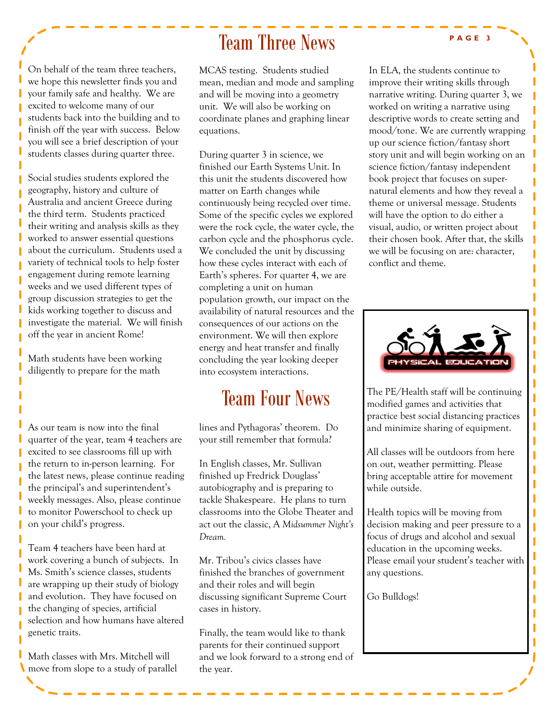### Team Three News

On behalf of the team three teachers, we hope this newsletter finds you and your family safe and healthy. We are excited to welcome many of our students back into the building and to finish off the year with success. Below you will see a brief description of your students classes during quarter three.

Social studies students explored the geography, history and culture of Australia and ancient Greece during the third term. Students practiced their writing and analysis skills as they worked to answer essential questions about the curriculum. Students used a variety of technical tools to help foster engagement during remote learning weeks and we used different types of group discussion strategies to get the kids working together to discuss and investigate the material. We will finish off the year in ancient Rome!

Math students have been working diligently to prepare for the math

I

As our team is now into the final quarter of the year, team 4 teachers are excited to see classrooms fill up with the return to in-person learning. For the latest news, please continue reading the principal's and superintendent's weekly messages. Also, please continue to monitor Powerschool to check up on your child's progress.

Team 4 teachers have been hard at work covering a bunch of subjects. In Ms. Smith's science classes, students are wrapping up their study of biology and evolution. They have focused on the changing of species, artificial selection and how humans have altered genetic traits.

Math classes with Mrs. Mitchell will move from slope to a study of parallel

MCAS testing. Students studied mean, median and mode and sampling and will be moving into a geometry unit. We will also be working on coordinate planes and graphing linear equations.

During quarter 3 in science, we finished our Earth Systems Unit. In this unit the students discovered how matter on Earth changes while continuously being recycled over time. Some of the specific cycles we explored were the rock cycle, the water cycle, the carbon cycle and the phosphorus cycle. We concluded the unit by discussing how these cycles interact with each of Earth's spheres. For quarter 4, we are completing a unit on human population growth, our impact on the availability of natural resources and the consequences of our actions on the environment. We will then explore energy and heat transfer and finally concluding the year looking deeper into ecosystem interactions.

# Team Four News

lines and Pythagoras' theorem. Do your still remember that formula?

In English classes, Mr. Sullivan finished up Fredrick Douglass' autobiography and is preparing to tackle Shakespeare. He plans to turn classrooms into the Globe Theater and act out the classic, A *Midsummer Night's Dream.* 

Mr. Tribou's civics classes have finished the branches of government and their roles and will begin discussing significant Supreme Court cases in history.

Finally, the team would like to thank parents for their continued support and we look forward to a strong end of the year.

In ELA, the students continue to improve their writing skills through narrative writing. During quarter 3, we worked on writing a narrative using descriptive words to create setting and mood/tone. We are currently wrapping up our science fiction/fantasy short story unit and will begin working on an science fiction/fantasy independent book project that focuses on supernatural elements and how they reveal a theme or universal message. Students will have the option to do either a visual, audio, or written project about their chosen book. After that, the skills we will be focusing on are: character, conflict and theme.



The PE/Health staff will be continuing modified games and activities that practice best social distancing practices and minimize sharing of equipment.

All classes will be outdoors from here on out, weather permitting. Please bring acceptable attire for movement while outside.

Health topics will be moving from decision making and peer pressure to a focus of drugs and alcohol and sexual education in the upcoming weeks. Please email your student's teacher with any questions.

Go Bulldogs!

#### **P A G E 3**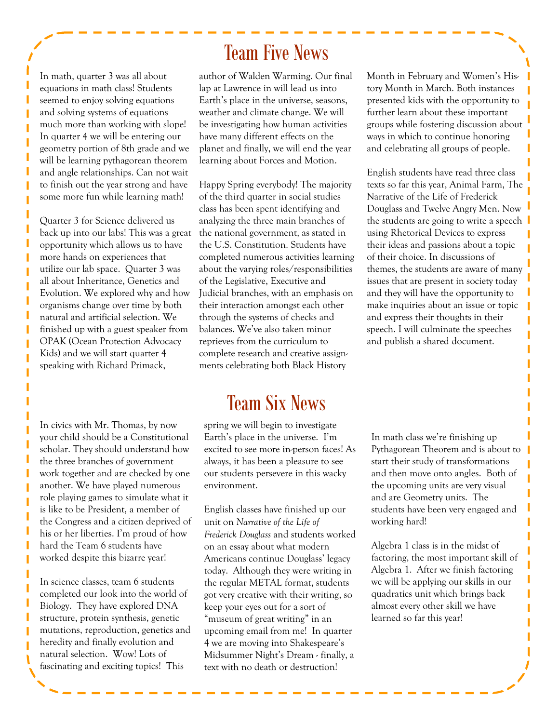In math, quarter 3 was all about equations in math class! Students seemed to enjoy solving equations and solving systems of equations much more than working with slope! In quarter 4 we will be entering our geometry portion of 8th grade and we will be learning pythagorean theorem and angle relationships. Can not wait to finish out the year strong and have some more fun while learning math!

П ī

ſ

ſ

Г

Quarter 3 for Science delivered us back up into our labs! This was a great opportunity which allows us to have more hands on experiences that utilize our lab space. Quarter 3 was all about Inheritance, Genetics and Evolution. We explored why and how organisms change over time by both natural and artificial selection. We finished up with a guest speaker from OPAK (Ocean Protection Advocacy Kids) and we will start quarter 4 speaking with Richard Primack,

In civics with Mr. Thomas, by now your child should be a Constitutional scholar. They should understand how the three branches of government work together and are checked by one another. We have played numerous role playing games to simulate what it is like to be President, a member of the Congress and a citizen deprived of his or her liberties. I'm proud of how hard the Team 6 students have worked despite this bizarre year!

In science classes, team 6 students completed our look into the world of Biology. They have explored DNA structure, protein synthesis, genetic mutations, reproduction, genetics and heredity and finally evolution and natural selection. Wow! Lots of fascinating and exciting topics! This

### Team Five News

author of Walden Warming. Our final lap at Lawrence in will lead us into Earth's place in the universe, seasons, weather and climate change. We will be investigating how human activities have many different effects on the planet and finally, we will end the year learning about Forces and Motion.

Happy Spring everybody! The majority of the third quarter in social studies class has been spent identifying and analyzing the three main branches of the national government, as stated in the U.S. Constitution. Students have completed numerous activities learning about the varying roles/responsibilities of the Legislative, Executive and Judicial branches, with an emphasis on their interaction amongst each other through the systems of checks and balances. We've also taken minor reprieves from the curriculum to complete research and creative assignments celebrating both Black History

### Team Six News

spring we will begin to investigate Earth's place in the universe. I'm excited to see more in-person faces! As always, it has been a pleasure to see our students persevere in this wacky environment.

English classes have finished up our unit on *Narrative of the Life of Frederick Douglass* and students worked on an essay about what modern Americans continue Douglass' legacy today. Although they were writing in the regular METAL format, students got very creative with their writing, so keep your eyes out for a sort of "museum of great writing" in an upcoming email from me! In quarter 4 we are moving into Shakespeare's Midsummer Night's Dream - finally, a text with no death or destruction!

Month in February and Women's History Month in March. Both instances presented kids with the opportunity to further learn about these important groups while fostering discussion about ways in which to continue honoring and celebrating all groups of people.

English students have read three class texts so far this year, Animal Farm, The Narrative of the Life of Frederick Douglass and Twelve Angry Men. Now the students are going to write a speech using Rhetorical Devices to express their ideas and passions about a topic of their choice. In discussions of themes, the students are aware of many issues that are present in society today and they will have the opportunity to make inquiries about an issue or topic and express their thoughts in their speech. I will culminate the speeches and publish a shared document.

In math class we're finishing up Pythagorean Theorem and is about to start their study of transformations and then move onto angles. Both of the upcoming units are very visual and are Geometry units. The students have been very engaged and working hard!

Algebra 1 class is in the midst of factoring, the most important skill of Algebra 1. After we finish factoring we will be applying our skills in our quadratics unit which brings back almost every other skill we have learned so far this year!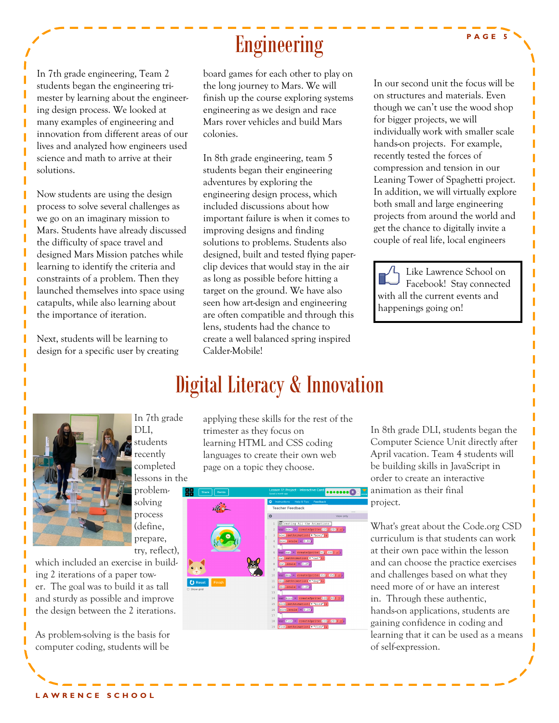Ï

In 7th grade engineering, Team 2 students began the engineering trimester by learning about the engineering design process. We looked at many examples of engineering and innovation from different areas of our lives and analyzed how engineers used science and math to arrive at their solutions.

Now students are using the design process to solve several challenges as we go on an imaginary mission to Mars. Students have already discussed the difficulty of space travel and designed Mars Mission patches while learning to identify the criteria and constraints of a problem. Then they launched themselves into space using catapults, while also learning about the importance of iteration.

Next, students will be learning to design for a specific user by creating

# Engineering

board games for each other to play on the long journey to Mars. We will finish up the course exploring systems engineering as we design and race Mars rover vehicles and build Mars colonies.

In 8th grade engineering, team 5 students began their engineering adventures by exploring the engineering design process, which included discussions about how important failure is when it comes to improving designs and finding solutions to problems. Students also designed, built and tested flying paperclip devices that would stay in the air as long as possible before hitting a target on the ground. We have also seen how art-design and engineering are often compatible and through this lens, students had the chance to create a well balanced spring inspired Calder-Mobile!

In our second unit the focus will be on structures and materials. Even though we can't use the wood shop for bigger projects, we will individually work with smaller scale hands-on projects. For example, recently tested the forces of compression and tension in our Leaning Tower of Spaghetti project. In addition, we will virtually explore both small and large engineering projects from around the world and get the chance to digitally invite a couple of real life, local engineers

Like Lawrence School on Facebook! Stay connected with all the current events and happenings going on!



In 7th grade DLI, students recently completed lessons in the problemsolving process (define, prepare, try, reflect),

which included an exercise in building 2 iterations of a paper tower. The goal was to build it as tall and sturdy as possible and improve the design between the 2 iterations.

As problem-solving is the basis for computer coding, students will be

applying these skills for the rest of the trimester as they focus on learning HTML and CSS coding languages to create their own web page on a topic they choose.

Digital Literacy & Innovation



In 8th grade DLI, students began the Computer Science Unit directly after April vacation. Team 4 students will be building skills in JavaScript in order to create an interactive animation as their final project.

What's great about the Code.org CSD curriculum is that students can work at their own pace within the lesson and can choose the practice exercises and challenges based on what they need more of or have an interest in. Through these authentic, hands-on applications, students are gaining confidence in coding and learning that it can be used as a means of self-expression.